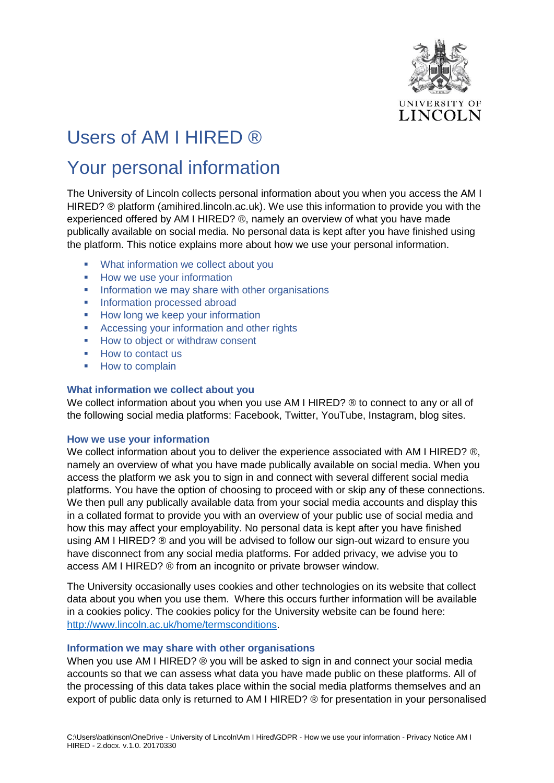

# Users of AM I HIRED ®

## Your personal information

The University of Lincoln collects personal information about you when you access the AM I HIRED? ® platform (amihired.lincoln.ac.uk). We use this information to provide you with the experienced offered by AM I HIRED? ®, namely an overview of what you have made publically available on social media. No personal data is kept after you have finished using the platform. This notice explains more about how we use your personal information.

- [What information we collect about you](#page-0-0)
- **[How we use your information](#page-0-1)**
- **[Information we may share with other organisations](#page-0-2)**
- **[Information processed abroad](#page-2-0)**
- **[How long we keep your information](#page-2-1)**
- **[Accessing your information and other rights](#page-2-2)**
- [How to object or withdraw consent](#page-3-0)
- **[How to contact us](#page-3-1)**
- **[How to complain](#page-3-2)**

### <span id="page-0-0"></span>**What information we collect about you**

We collect information about you when you use AM I HIRED? ® to connect to any or all of the following social media platforms: Facebook, Twitter, YouTube, Instagram, blog sites.

#### <span id="page-0-1"></span>**How we use your information**

We collect information about you to deliver the experience associated with AM I HIRED? ®, namely an overview of what you have made publically available on social media. When you access the platform we ask you to sign in and connect with several different social media platforms. You have the option of choosing to proceed with or skip any of these connections. We then pull any publically available data from your social media accounts and display this in a collated format to provide you with an overview of your public use of social media and how this may affect your employability. No personal data is kept after you have finished using AM I HIRED? ® and you will be advised to follow our sign-out wizard to ensure you have disconnect from any social media platforms. For added privacy, we advise you to access AM I HIRED? ® from an incognito or private browser window.

The University occasionally uses cookies and other technologies on its website that collect data about you when you use them. Where this occurs further information will be available in a cookies policy. The cookies policy for the University website can be found here: [http://www.lincoln.ac.uk/home/termsconditions.](http://www.lincoln.ac.uk/home/termsconditions)

#### <span id="page-0-2"></span>**Information we may share with other organisations**

When you use AM I HIRED? ® you will be asked to sign in and connect your social media accounts so that we can assess what data you have made public on these platforms. All of the processing of this data takes place within the social media platforms themselves and an export of public data only is returned to AM I HIRED? ® for presentation in your personalised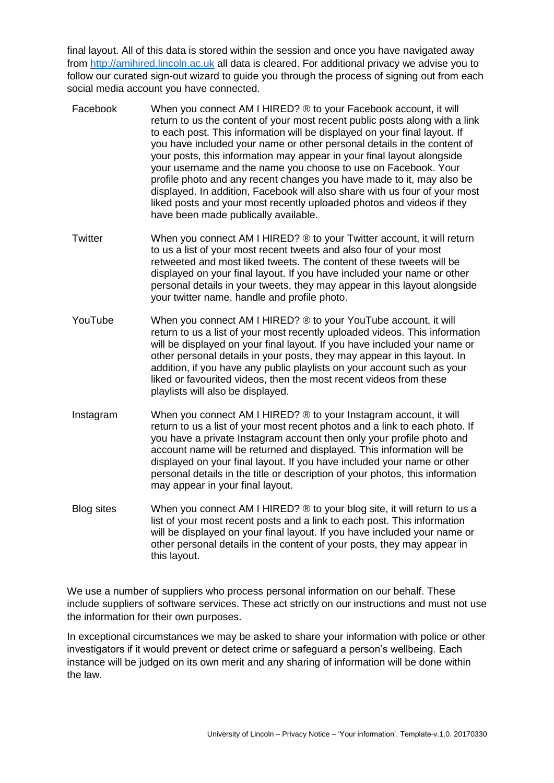final layout. All of this data is stored within the session and once you have navigated away from [http://amihired.lincoln.ac.uk](http://amihired.lincoln.ac.uk/) all data is cleared. For additional privacy we advise you to follow our curated sign-out wizard to guide you through the process of signing out from each social media account you have connected.

- Facebook When you connect AM I HIRED? ® to your Facebook account, it will return to us the content of your most recent public posts along with a link to each post. This information will be displayed on your final layout. If you have included your name or other personal details in the content of your posts, this information may appear in your final layout alongside your username and the name you choose to use on Facebook. Your profile photo and any recent changes you have made to it, may also be displayed. In addition, Facebook will also share with us four of your most liked posts and your most recently uploaded photos and videos if they have been made publically available.
- Twitter When you connect AM I HIRED? ® to your Twitter account, it will return to us a list of your most recent tweets and also four of your most retweeted and most liked tweets. The content of these tweets will be displayed on your final layout. If you have included your name or other personal details in your tweets, they may appear in this layout alongside your twitter name, handle and profile photo.
- YouTube When you connect AM I HIRED? ® to your YouTube account, it will return to us a list of your most recently uploaded videos. This information will be displayed on your final layout. If you have included your name or other personal details in your posts, they may appear in this layout. In addition, if you have any public playlists on your account such as your liked or favourited videos, then the most recent videos from these playlists will also be displayed.
- Instagram When you connect AM I HIRED? ® to your Instagram account, it will return to us a list of your most recent photos and a link to each photo. If you have a private Instagram account then only your profile photo and account name will be returned and displayed. This information will be displayed on your final layout. If you have included your name or other personal details in the title or description of your photos, this information may appear in your final layout.
- Blog sites When you connect AM I HIRED? ® to your blog site, it will return to us a list of your most recent posts and a link to each post. This information will be displayed on your final layout. If you have included your name or other personal details in the content of your posts, they may appear in this layout.

We use a number of suppliers who process personal information on our behalf. These include suppliers of software services. These act strictly on our instructions and must not use the information for their own purposes.

In exceptional circumstances we may be asked to share your information with police or other investigators if it would prevent or detect crime or safeguard a person's wellbeing. Each instance will be judged on its own merit and any sharing of information will be done within the law.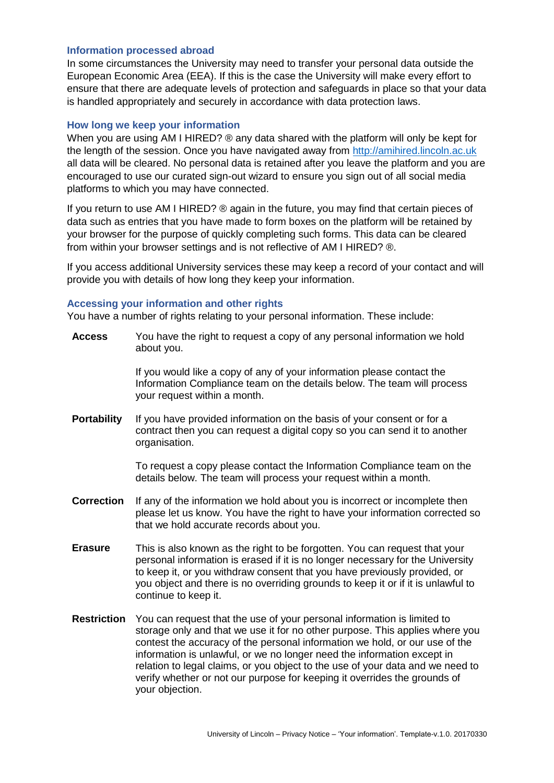#### <span id="page-2-0"></span>**Information processed abroad**

In some circumstances the University may need to transfer your personal data outside the European Economic Area (EEA). If this is the case the University will make every effort to ensure that there are adequate levels of protection and safeguards in place so that your data is handled appropriately and securely in accordance with data protection laws.

#### <span id="page-2-1"></span>**How long we keep your information**

When you are using AM I HIRED? ® any data shared with the platform will only be kept for the length of the session. Once you have navigated away from [http://amihired.lincoln.ac.uk](http://amihired.lincoln.ac.uk/) all data will be cleared. No personal data is retained after you leave the platform and you are encouraged to use our curated sign-out wizard to ensure you sign out of all social media platforms to which you may have connected.

If you return to use AM I HIRED? ® again in the future, you may find that certain pieces of data such as entries that you have made to form boxes on the platform will be retained by your browser for the purpose of quickly completing such forms. This data can be cleared from within your browser settings and is not reflective of AM I HIRED? ®.

If you access additional University services these may keep a record of your contact and will provide you with details of how long they keep your information.

#### <span id="page-2-2"></span>**Accessing your information and other rights**

You have a number of rights relating to your personal information. These include:

**Access** You have the right to request a copy of any personal information we hold about you.

> If you would like a copy of any of your information please contact the Information Compliance team on the details below. The team will process your request within a month.

**Portability** If you have provided information on the basis of your consent or for a contract then you can request a digital copy so you can send it to another organisation.

> To request a copy please contact the Information Compliance team on the details below. The team will process your request within a month.

- **Correction** If any of the information we hold about you is incorrect or incomplete then please let us know. You have the right to have your information corrected so that we hold accurate records about you.
- **Erasure** This is also known as the right to be forgotten. You can request that your personal information is erased if it is no longer necessary for the University to keep it, or you withdraw consent that you have previously provided, or you object and there is no overriding grounds to keep it or if it is unlawful to continue to keep it.
- **Restriction** You can request that the use of your personal information is limited to storage only and that we use it for no other purpose. This applies where you contest the accuracy of the personal information we hold, or our use of the information is unlawful, or we no longer need the information except in relation to legal claims, or you object to the use of your data and we need to verify whether or not our purpose for keeping it overrides the grounds of your objection.